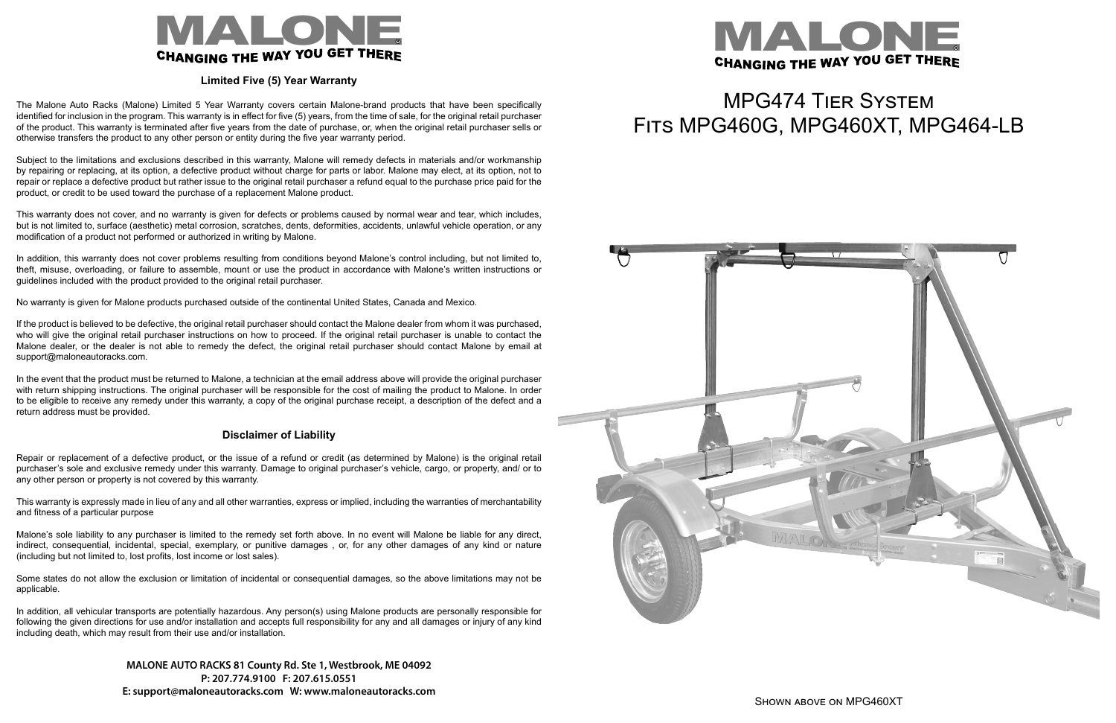## MICROSPORT NEWSLET SECOND TIER INSTRUCTIONS IN THE PROPERTY IN THE PARALLET OF THE TIME IN THE TIME IN THE TIME IN THE TIME IN THE TIME IN THE TIME IN THE TIME IN THE TIME IN THE TIME IN THE TIME IS NOT TIME IN THE TIME IN MPG474 Tier System Fits MPG460G, MPG460XT, MPG464-LB





SHOWN ABOVE ON MPG460XT

**MALONE AUTO RACKS 81 County Rd. Ste 1, Westbrook, ME 04092 P: 207.774.9100 F: 207.615.0551 E: support@maloneautoracks.com W: www.maloneautoracks.com**

## **Limited Five (5) Year Warranty**

The Malone Auto Racks (Malone) Limited 5 Year Warranty covers certain Malone-brand products that have been specifically identified for inclusion in the program. This warranty is in effect for five (5) years, from the time of sale, for the original retail purchaser of the product. This warranty is terminated after five years from the date of purchase, or, when the original retail purchaser sells or otherwise transfers the product to any other person or entity during the five year warranty period.

This warranty does not cover, and no warranty is given for defects or problems caused by normal wear and tear, which includes, but is not limited to, surface (aesthetic) metal corrosion, scratches, dents, deformities, accidents, unlawful vehicle operation, or any modification of a product not performed or authorized in writing by Malone.

theft, misuse, overloading, or failure to assemble, mount or use the product in accordance with Malone's written instructions or In addition, this warranty does not cover problems resulting from conditions beyond Malone's control including, but not limited to, guidelines included with the product provided to the original retail purchaser.

Subject to the limitations and exclusions described in this warranty, Malone will remedy defects in materials and/or workmanship by repairing or replacing, at its option, a defective product without charge for parts or labor. Malone may elect, at its option, not to repair or replace a defective product but rather issue to the original retail purchaser a refund equal to the purchase price paid for the product, or credit to be used toward the purchase of a replacement Malone product.

No warranty is given for Malone products purchased outside of the continental United States, Canada and Mexico.

In addition, all vehicular transports are potentially hazardous. Any person(s) using Malone products are personally responsible for following the given directions for use and/or installation and accepts full responsibility for any and all damages or injury of any kind including death, which may result from their use and/or installation.

If the product is believed to be defective, the original retail purchaser should contact the Malone dealer from whom it was purchased, who will give the original retail purchaser instructions on how to proceed. If the original retail purchaser is unable to contact the Malone dealer, or the dealer is not able to remedy the defect, the original retail purchaser should contact Malone by email at support@maloneautoracks.com.

In the event that the product must be returned to Malone, a technician at the email address above will provide the original purchaser with return shipping instructions. The original purchaser will be responsible for the cost of mailing the product to Malone. In order to be eligible to receive any remedy under this warranty, a copy of the original purchase receipt, a description of the defect and a return address must be provided.

## **Disclaimer of Liability**

Repair or replacement of a defective product, or the issue of a refund or credit (as determined by Malone) is the original retail purchaser's sole and exclusive remedy under this warranty. Damage to original purchaser's vehicle, cargo, or property, and/ or to any other person or property is not covered by this warranty.

This warranty is expressly made in lieu of any and all other warranties, express or implied, including the warranties of merchantability and fitness of a particular purpose

Malone's sole liability to any purchaser is limited to the remedy set forth above. In no event will Malone be liable for any direct, indirect, consequential, incidental, special, exemplary, or punitive damages , or, for any other damages of any kind or nature (including but not limited to, lost profits, lost income or lost sales).

Some states do not allow the exclusion or limitation of incidental or consequential damages, so the above limitations may not be applicable.